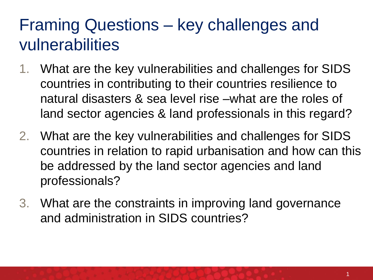### Framing Questions – key challenges and vulnerabilities

- 1. What are the key vulnerabilities and challenges for SIDS countries in contributing to their countries resilience to natural disasters & sea level rise –what are the roles of land sector agencies & land professionals in this regard?
- 2. What are the key vulnerabilities and challenges for SIDS countries in relation to rapid urbanisation and how can this be addressed by the land sector agencies and land professionals?
- 3. What are the constraints in improving land governance and administration in SIDS countries?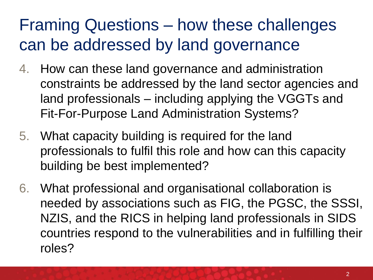# Framing Questions – how these challenges can be addressed by land governance

- 4. How can these land governance and administration constraints be addressed by the land sector agencies and land professionals – including applying the VGGTs and Fit-For-Purpose Land Administration Systems?
- 5. What capacity building is required for the land professionals to fulfil this role and how can this capacity building be best implemented?
- 6. What professional and organisational collaboration is needed by associations such as FIG, the PGSC, the SSSI, NZIS, and the RICS in helping land professionals in SIDS countries respond to the vulnerabilities and in fulfilling their roles?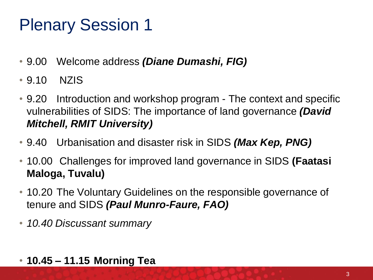## Plenary Session 1

- 9.00 Welcome address *(Diane Dumashi, FIG)*
- 9.10 NZIS
- 9.20 Introduction and workshop program The context and specific vulnerabilities of SIDS: The importance of land governance *(David Mitchell, RMIT University)*
- 9.40 Urbanisation and disaster risk in SIDS *(Max Kep, PNG)*
- 10.00 Challenges for improved land governance in SIDS **(Faatasi Maloga, Tuvalu)**
- 10.20 The Voluntary Guidelines on the responsible governance of tenure and SIDS *(Paul Munro-Faure, FAO)*
- *10.40 Discussant summary*
- **10.45 – 11.15 Morning Tea**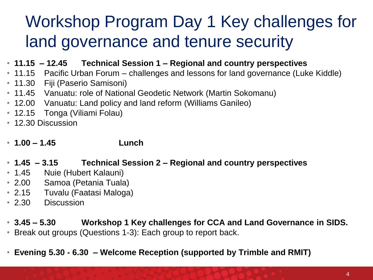# Workshop Program Day 1 Key challenges for land governance and tenure security

- **11.15 – 12.45 Technical Session 1 – Regional and country perspectives**
- 11.15 Pacific Urban Forum challenges and lessons for land governance (Luke Kiddle)
- 11.30 Fiji (Paserio Samisoni)
- 11.45 Vanuatu: role of National Geodetic Network (Martin Sokomanu)
- 12.00 Vanuatu: Land policy and land reform (Williams Ganileo)
- 12.15 Tonga (Viliami Folau)
- 12.30 Discussion
- **1.00 – 1.45 Lunch**
- **1.45 – 3.15 Technical Session 2 – Regional and country perspectives**
- 1.45 Nuie (Hubert Kalauni)
- 2.00 Samoa (Petania Tuala)
- 2.15 Tuvalu (Faatasi Maloga)
- 2.30 Discussion
- **3.45 – 5.30 Workshop 1 Key challenges for CCA and Land Governance in SIDS.**
- Break out groups (Questions 1-3): Each group to report back.
- **Evening 5.30 - 6.30 – Welcome Reception (supported by Trimble and RMIT)**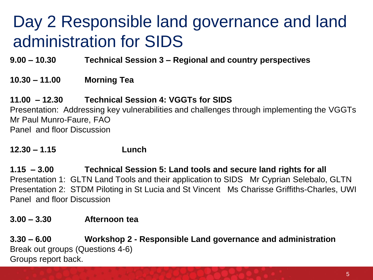# Day 2 Responsible land governance and land administration for SIDS

**9.00 – 10.30 Technical Session 3 – Regional and country perspectives**

#### **10.30 – 11.00 Morning Tea**

#### **11.00 – 12.30 Technical Session 4: VGGTs for SIDS**

Presentation: Addressing key vulnerabilities and challenges through implementing the VGGTs Mr Paul Munro-Faure, FAO Panel and floor Discussion

#### **12.30 – 1.15 Lunch**

**1.15 – 3.00 Technical Session 5: Land tools and secure land rights for all** Presentation 1: GLTN Land Tools and their application to SIDS Mr Cyprian Selebalo, GLTN Presentation 2: STDM Piloting in St Lucia and St Vincent Ms Charisse Griffiths-Charles, UWI Panel and floor Discussion

#### **3.00 – 3.30 Afternoon tea**

**3.30 – 6.00 Workshop 2 - Responsible Land governance and administration** Break out groups (Questions 4-6) Groups report back.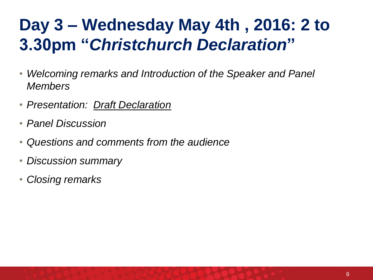# **Day 3 – Wednesday May 4th , 2016: 2 to 3.30pm "***Christchurch Declaration***"**

- *Welcoming remarks and Introduction of the Speaker and Panel Members*
- *Presentation: Draft Declaration*
- *Panel Discussion*
- *Questions and comments from the audience*
- *Discussion summary*
- *Closing remarks*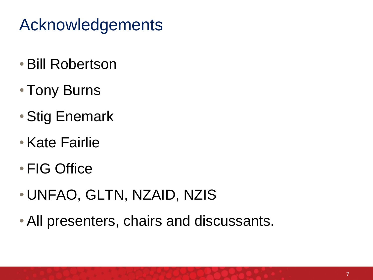# Acknowledgements

- •Bill Robertson
- Tony Burns
- •Stig Enemark
- •Kate Fairlie
- FIG Office
- UNFAO, GLTN, NZAID, NZIS
- •All presenters, chairs and discussants.